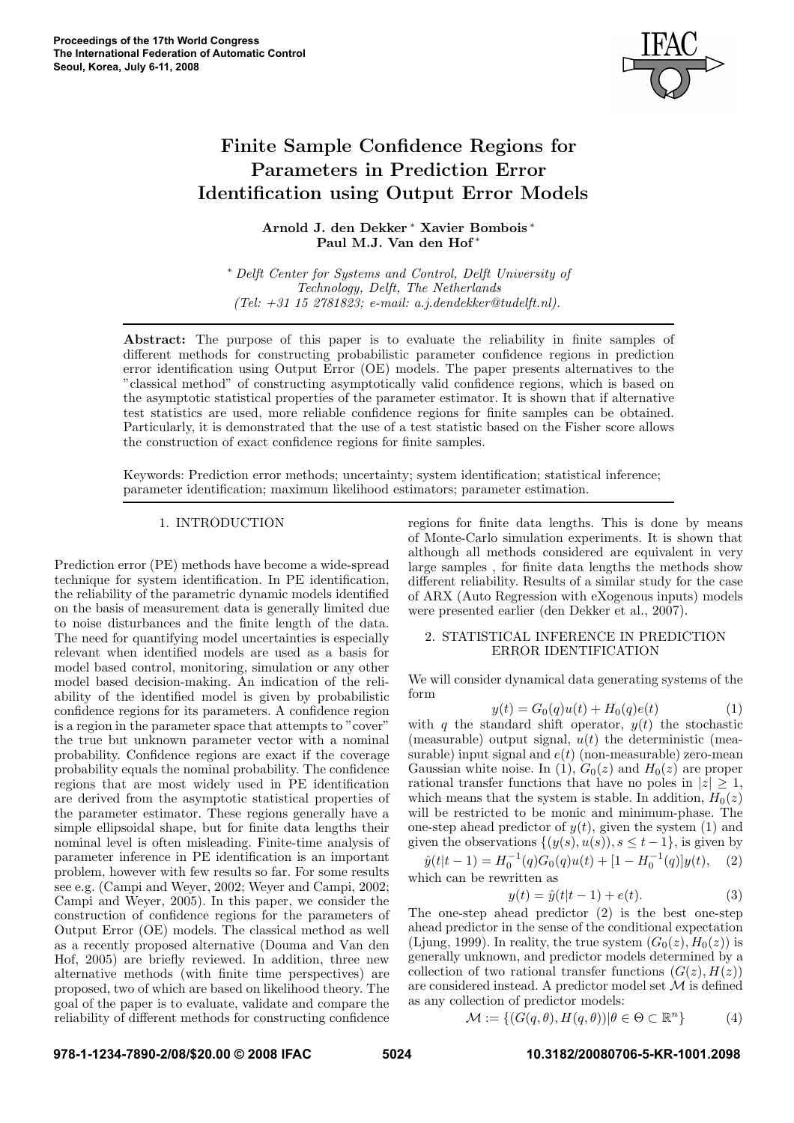

# Finite Sample Confidence Regions for Parameters in Prediction Error Identification using Output Error Models

Arnold J. den Dekker <sup>∗</sup> Xavier Bombois ∗ Paul M.J. Van den Hof<sup>\*</sup>

<sup>∗</sup> Delft Center for Systems and Control, Delft University of Technology, Delft, The Netherlands (Tel: +31 15 2781823; e-mail: a.j.dendekker@tudelft.nl).

Abstract: The purpose of this paper is to evaluate the reliability in finite samples of different methods for constructing probabilistic parameter confidence regions in prediction error identification using Output Error (OE) models. The paper presents alternatives to the "classical method" of constructing asymptotically valid confidence regions, which is based on the asymptotic statistical properties of the parameter estimator. It is shown that if alternative test statistics are used, more reliable confidence regions for finite samples can be obtained. Particularly, it is demonstrated that the use of a test statistic based on the Fisher score allows the construction of exact confidence regions for finite samples.

Keywords: Prediction error methods; uncertainty; system identification; statistical inference; parameter identification; maximum likelihood estimators; parameter estimation.

# 1. INTRODUCTION

Prediction error (PE) methods have become a wide-spread technique for system identification. In PE identification, the reliability of the parametric dynamic models identified on the basis of measurement data is generally limited due to noise disturbances and the finite length of the data. The need for quantifying model uncertainties is especially relevant when identified models are used as a basis for model based control, monitoring, simulation or any other model based decision-making. An indication of the reliability of the identified model is given by probabilistic confidence regions for its parameters. A confidence region is a region in the parameter space that attempts to "cover" the true but unknown parameter vector with a nominal probability. Confidence regions are exact if the coverage probability equals the nominal probability. The confidence regions that are most widely used in PE identification are derived from the asymptotic statistical properties of the parameter estimator. These regions generally have a simple ellipsoidal shape, but for finite data lengths their nominal level is often misleading. Finite-time analysis of parameter inference in PE identification is an important problem, however with few results so far. For some results see e.g. (Campi and Weyer, 2002; Weyer and Campi, 2002; Campi and Weyer, 2005). In this paper, we consider the construction of confidence regions for the parameters of Output Error (OE) models. The classical method as well as a recently proposed alternative (Douma and Van den Hof, 2005) are briefly reviewed. In addition, three new alternative methods (with finite time perspectives) are proposed, two of which are based on likelihood theory. The goal of the paper is to evaluate, validate and compare the reliability of different methods for constructing confidence

regions for finite data lengths. This is done by means of Monte-Carlo simulation experiments. It is shown that although all methods considered are equivalent in very large samples , for finite data lengths the methods show different reliability. Results of a similar study for the case of ARX (Auto Regression with eXogenous inputs) models were presented earlier (den Dekker et al., 2007).

# 2. STATISTICAL INFERENCE IN PREDICTION ERROR IDENTIFICATION

We will consider dynamical data generating systems of the form

$$
y(t) = G_0(q)u(t) + H_0(q)e(t)
$$
 (1)

with q the standard shift operator,  $y(t)$  the stochastic (measurable) output signal,  $u(t)$  the deterministic (measurable) input signal and  $e(t)$  (non-measurable) zero-mean Gaussian white noise. In (1),  $G_0(z)$  and  $H_0(z)$  are proper rational transfer functions that have no poles in  $|z| \geq 1$ , which means that the system is stable. In addition,  $H_0(z)$ will be restricted to be monic and minimum-phase. The one-step ahead predictor of  $y(t)$ , given the system (1) and given the observations  $\{(y(s), u(s)), s \leq t-1\}$ , is given by

 $\hat{y}(t|t-1) = H_0^{-1}(q)G_0(q)u(t) + [1 - H_0^{-1}(q)]y(t),$  (2) which can be rewritten as

$$
y(t) = \hat{y}(t|t-1) + e(t).
$$
 (3)

The one-step ahead predictor (2) is the best one-step ahead predictor in the sense of the conditional expectation (Ljung, 1999). In reality, the true system  $(G_0(z), H_0(z))$  is generally unknown, and predictor models determined by a collection of two rational transfer functions  $(G(z), H(z))$ are considered instead. A predictor model set M is defined as any collection of predictor models:

$$
\mathcal{M} := \{ (G(q, \theta), H(q, \theta)) | \theta \in \Theta \subset \mathbb{R}^n \}
$$
 (4)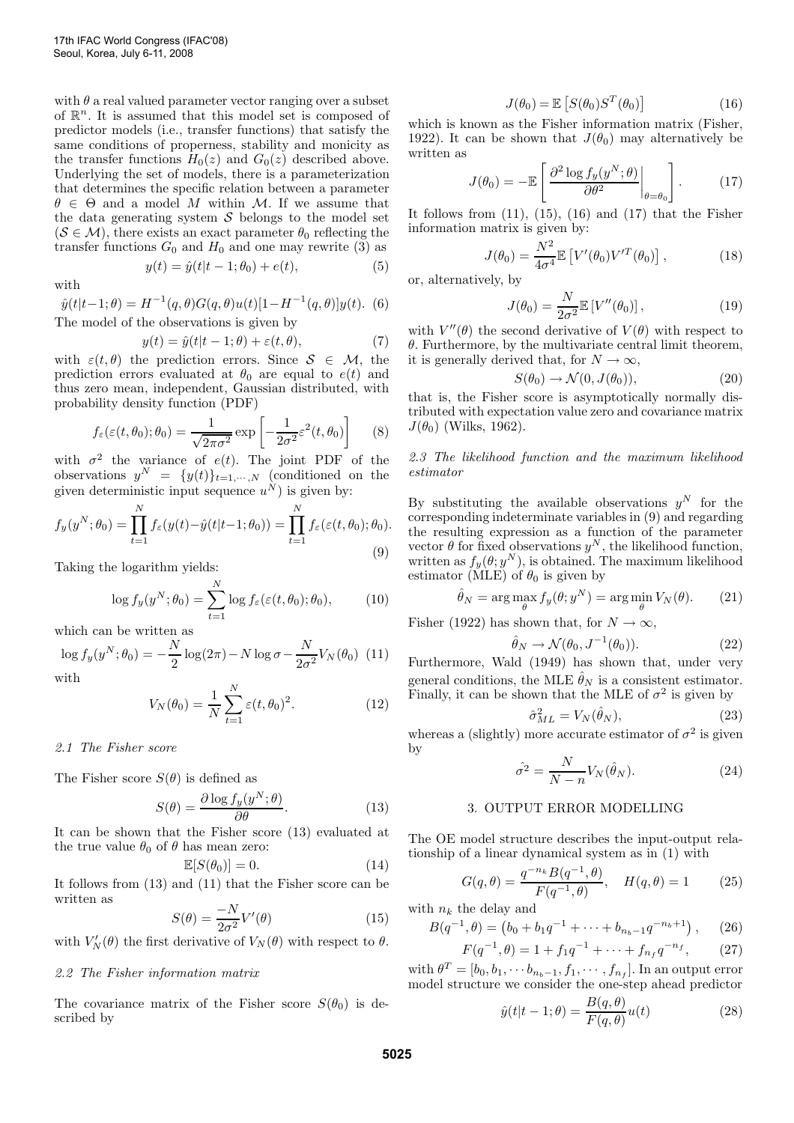with  $\theta$  a real valued parameter vector ranging over a subset of  $\mathbb{R}^n$ . It is assumed that this model set is composed of predictor models (i.e., transfer functions) that satisfy the same conditions of properness, stability and monicity as the transfer functions  $H_0(z)$  and  $G_0(z)$  described above. Underlying the set of models, there is a parameterization that determines the specific relation between a parameter  $\theta \in \Theta$  and a model M within M. If we assume that the data generating system  $\mathcal S$  belongs to the model set  $(S \in \mathcal{M})$ , there exists an exact parameter  $\theta_0$  reflecting the transfer functions  $G_0$  and  $H_0$  and one may rewrite (3) as

with

$$
\hat{y}(t|t-1;\theta) = H^{-1}(q,\theta)G(q,\theta)u(t)[1 - H^{-1}(q,\theta)]y(t).
$$
 (6)  
The model of the observations is given by

$$
y(t) = \hat{y}(t|t-1;\theta) + \varepsilon(t,\theta), \tag{7}
$$

 $y(t) = \hat{y}(t|t-1; \theta_0) + e(t),$  (5)

with  $\varepsilon(t, \theta)$  the prediction errors. Since  $S \in \mathcal{M}$ , the prediction errors evaluated at  $\theta_0$  are equal to  $e(t)$  and thus zero mean, independent, Gaussian distributed, with probability density function (PDF)

$$
f_{\varepsilon}(\varepsilon(t,\theta_0); \theta_0) = \frac{1}{\sqrt{2\pi\sigma^2}} \exp\left[-\frac{1}{2\sigma^2}\varepsilon^2(t,\theta_0)\right]
$$
 (8)

with  $\sigma^2$  the variance of  $e(t)$ . The joint PDF of the observations  $y^N = \{y(t)\}_{t=1,\dots,N}$  (conditioned on the given deterministic input sequence  $u^N$ ) is given by:

$$
f_y(y^N; \theta_0) = \prod_{t=1}^N f_{\varepsilon}(y(t) - \hat{y}(t|t-1; \theta_0)) = \prod_{t=1}^N f_{\varepsilon}(\varepsilon(t, \theta_0); \theta_0).
$$
\n(9)

Taking the logarithm yields:

$$
\log f_y(y^N; \theta_0) = \sum_{t=1}^N \log f_{\varepsilon}(\varepsilon(t, \theta_0); \theta_0), \quad (10)
$$

which can be written as

$$
\log f_y(y^N; \theta_0) = -\frac{N}{2} \log(2\pi) - N \log \sigma - \frac{N}{2\sigma^2} V_N(\theta_0) \tag{11}
$$

with

$$
V_N(\theta_0) = \frac{1}{N} \sum_{t=1}^{N} \varepsilon(t, \theta_0)^2.
$$
 (12)

2.1 The Fisher score

The Fisher score  $S(\theta)$  is defined as

$$
S(\theta) = \frac{\partial \log f_y(y^N; \theta)}{\partial \theta}.
$$
 (13)

It can be shown that the Fisher score (13) evaluated at the true value  $\theta_0$  of  $\theta$  has mean zero:

$$
\mathbb{E}[S(\theta_0)] = 0. \tag{14}
$$

It follows from (13) and (11) that the Fisher score can be written as

$$
S(\theta) = \frac{-N}{2\sigma^2} V'(\theta)
$$
 (15)

with  $V_N'(\theta)$  the first derivative of  $V_N(\theta)$  with respect to  $\theta$ .

# 2.2 The Fisher information matrix

The covariance matrix of the Fisher score  $S(\theta_0)$  is described by

$$
J(\theta_0) = \mathbb{E}\left[S(\theta_0)S^T(\theta_0)\right] \tag{16}
$$

which is known as the Fisher information matrix (Fisher, 1922). It can be shown that  $J(\theta_0)$  may alternatively be written as

$$
J(\theta_0) = -\mathbb{E}\left[\left.\frac{\partial^2 \log f_y(y^N;\theta)}{\partial \theta^2}\right|_{\theta=\theta_0}\right].\tag{17}
$$

It follows from  $(11)$ ,  $(15)$ ,  $(16)$  and  $(17)$  that the Fisher information matrix is given by:

$$
J(\theta_0) = \frac{N^2}{4\sigma^4} \mathbb{E}\left[V'(\theta_0)V'^T(\theta_0)\right],\tag{18}
$$

or, alternatively, by

$$
J(\theta_0) = \frac{N}{2\sigma^2} \mathbb{E}\left[V''(\theta_0)\right],\tag{19}
$$

with  $V''(\theta)$  the second derivative of  $V(\theta)$  with respect to  $\theta$ . Furthermore, by the multivariate central limit theorem, it is generally derived that, for  $N \to \infty$ ,

$$
S(\theta_0) \to \mathcal{N}(0, J(\theta_0)), \tag{20}
$$

that is, the Fisher score is asymptotically normally distributed with expectation value zero and covariance matrix  $J(\theta_0)$  (Wilks, 1962).

# 2.3 The likelihood function and the maximum likelihood estimator

By substituting the available observations  $y^N$  for the corresponding indeterminate variables in (9) and regarding the resulting expression as a function of the parameter vector  $\theta$  for fixed observations  $y^N$ , the likelihood function, written as  $f_y(\theta; y^N)$ , is obtained. The maximum likelihood estimator (MLE) of  $\theta_0$  is given by

$$
\hat{\theta}_N = \arg\max_{\theta} f_y(\theta; y^N) = \arg\min_{\theta} V_N(\theta). \tag{21}
$$

Fisher (1922) has shown that, for  $N \to \infty$ ,

$$
\hat{\theta}_N \to \mathcal{N}(\theta_0, J^{-1}(\theta_0)). \tag{22}
$$

Furthermore, Wald (1949) has shown that, under very general conditions, the MLE  $\hat{\theta}_N$  is a consistent estimator. Finally, it can be shown that the MLE of  $\sigma^2$  is given by

$$
\hat{\sigma}_{ML}^2 = V_N(\hat{\theta}_N),\tag{23}
$$

whereas a (slightly) more accurate estimator of  $\sigma^2$  is given by

$$
\hat{\sigma}^2 = \frac{N}{N - n} V_N(\hat{\theta}_N). \tag{24}
$$

# 3. OUTPUT ERROR MODELLING

The OE model structure describes the input-output relationship of a linear dynamical system as in (1) with

$$
G(q, \theta) = \frac{q^{-n_k} B(q^{-1}, \theta)}{F(q^{-1}, \theta)}, \quad H(q, \theta) = 1 \tag{25}
$$

with  $n_k$  the delay and

$$
B(q^{-1}, \theta) = (b_0 + b_1 q^{-1} + \dots + b_{n_b-1} q^{-n_b+1}), \quad (26)
$$

$$
F(q^{-1}, \theta) = 1 + f_1 q^{-1} + \dots + f_{n_f} q^{-n_f}, \qquad (27)
$$

with  $\theta^T = [b_0, b_1, \dots, b_{n_b-1}, f_1, \dots, f_{n_f}]$ . In an output error model structure we consider the one-step ahead predictor

$$
\hat{y}(t|t-1;\theta) = \frac{B(q,\theta)}{F(q,\theta)}u(t)
$$
\n(28)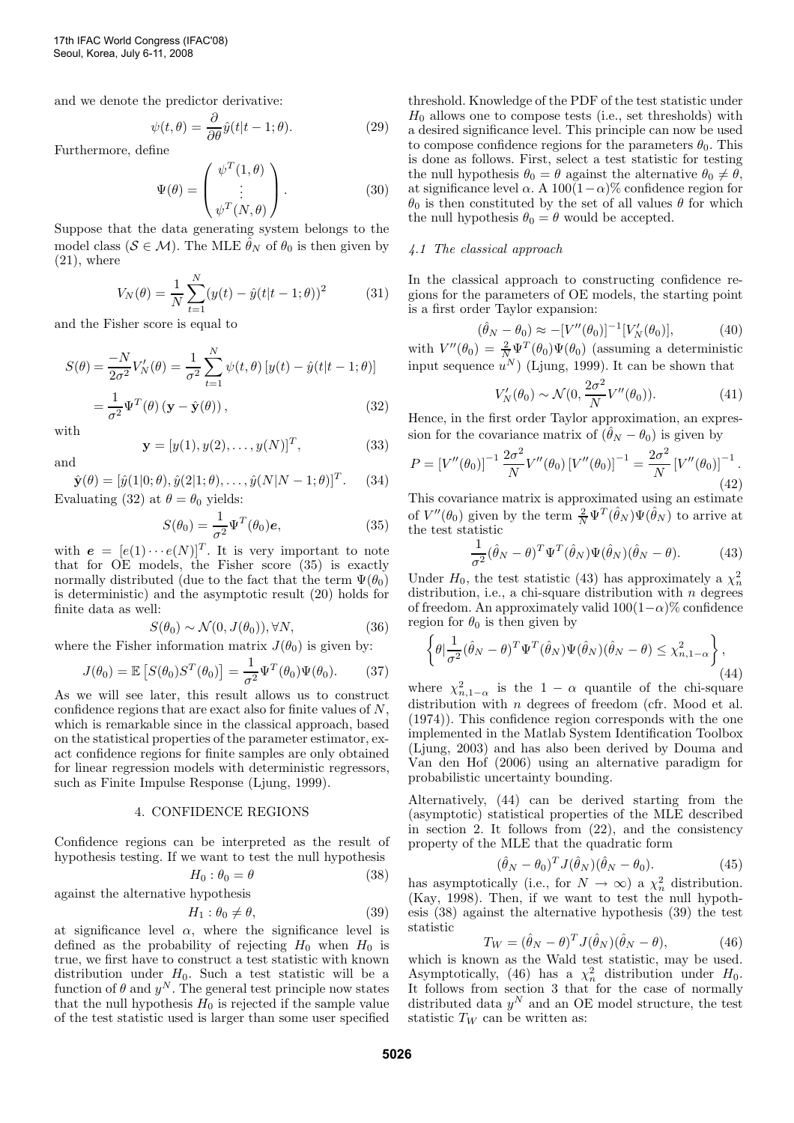and we denote the predictor derivative:

$$
\psi(t,\theta) = \frac{\partial}{\partial \theta} \hat{y}(t|t-1;\theta). \tag{29}
$$

Furthermore, define

$$
\Psi(\theta) = \begin{pmatrix} \psi^T(1,\theta) \\ \vdots \\ \psi^T(N,\theta) \end{pmatrix} .
$$
 (30)

Suppose that the data generating system belongs to the model class ( $S \in \mathcal{M}$ ). The MLE  $\hat{\theta}_N$  of  $\theta_0$  is then given by  $(21)$ , where

$$
V_N(\theta) = \frac{1}{N} \sum_{t=1}^{N} (y(t) - \hat{y}(t|t-1; \theta))^2
$$
 (31)

and the Fisher score is equal to

$$
S(\theta) = \frac{-N}{2\sigma^2} V_N'(\theta) = \frac{1}{\sigma^2} \sum_{t=1}^N \psi(t, \theta) \left[ y(t) - \hat{y}(t|t-1; \theta) \right]
$$

$$
= \frac{1}{\sigma^2} \Psi^T(\theta) \left( \mathbf{y} - \hat{\mathbf{y}}(\theta) \right), \tag{32}
$$

with

and

$$
\mathbf{y} = [y(1), y(2), \dots, y(N)]^T, \tag{33}
$$

 $\hat{\mathbf{y}}(\theta) = [\hat{y}(1|0;\theta), \hat{y}(2|1;\theta), \dots, \hat{y}(N|N-1;\theta)]^T$ . (34) Evaluating (32) at  $\theta = \theta_0$  yields:

$$
S(\theta_0) = \frac{1}{\sigma^2} \Psi^T(\theta_0) \mathbf{e},\tag{35}
$$

with  $e = [e(1) \cdots e(N)]^T$ . It is very important to note that for OE models, the Fisher score (35) is exactly normally distributed (due to the fact that the term  $\Psi(\theta_0)$ ) is deterministic) and the asymptotic result (20) holds for finite data as well:

$$
S(\theta_0) \sim \mathcal{N}(0, J(\theta_0)), \forall N,
$$
 (36)

where the Fisher information matrix  $J(\theta_0)$  is given by:

$$
J(\theta_0) = \mathbb{E}\left[S(\theta_0)S^T(\theta_0)\right] = \frac{1}{\sigma^2} \Psi^T(\theta_0)\Psi(\theta_0).
$$
 (37)

As we will see later, this result allows us to construct confidence regions that are exact also for finite values of N, which is remarkable since in the classical approach, based on the statistical properties of the parameter estimator, exact confidence regions for finite samples are only obtained for linear regression models with deterministic regressors, such as Finite Impulse Response (Ljung, 1999).

# 4. CONFIDENCE REGIONS

Confidence regions can be interpreted as the result of hypothesis testing. If we want to test the null hypothesis

$$
H_0: \theta_0 = \theta \tag{38}
$$

against the alternative hypothesis

$$
H_1: \theta_0 \neq \theta,\tag{39}
$$

at significance level  $\alpha$ , where the significance level is defined as the probability of rejecting  $H_0$  when  $H_0$  is true, we first have to construct a test statistic with known distribution under  $H_0$ . Such a test statistic will be a function of  $\theta$  and  $y^N$ . The general test principle now states that the null hypothesis  $H_0$  is rejected if the sample value of the test statistic used is larger than some user specified

threshold. Knowledge of the PDF of the test statistic under  $H_0$  allows one to compose tests (i.e., set thresholds) with a desired significance level. This principle can now be used to compose confidence regions for the parameters  $\theta_0$ . This is done as follows. First, select a test statistic for testing the null hypothesis  $\theta_0 = \theta$  against the alternative  $\theta_0 \neq \theta$ , at significance level  $\alpha$ . A 100(1- $\alpha$ )% confidence region for  $\theta_0$  is then constituted by the set of all values  $\theta$  for which the null hypothesis  $\theta_0 = \theta$  would be accepted.

### 4.1 The classical approach

In the classical approach to constructing confidence regions for the parameters of OE models, the starting point is a first order Taylor expansion:

$$
(\hat{\theta}_N - \theta_0) \approx -[V''(\theta_0)]^{-1} [V'_N(\theta_0)], \tag{40}
$$

with  $V''(\theta_0) = \frac{2}{N} \Psi^T(\theta_0) \Psi(\theta_0)$  (assuming a deterministic input sequence  $u^N$ ) (Ljung, 1999). It can be shown that

$$
V'_{N}(\theta_{0}) \sim \mathcal{N}(0, \frac{2\sigma^{2}}{N}V''(\theta_{0})).
$$
\n(41)

Hence, in the first order Taylor approximation, an expression for the covariance matrix of  $(\hat{\theta}_N - \theta_0)$  is given by

$$
P = [V''(\theta_0)]^{-1} \frac{2\sigma^2}{N} V''(\theta_0) [V''(\theta_0)]^{-1} = \frac{2\sigma^2}{N} [V''(\theta_0)]^{-1}.
$$
\n(42)

This covariance matrix is approximated using an estimate of  $V''(\theta_0)$  given by the term  $\frac{2}{N} \Psi^T(\hat{\theta}_N) \Psi(\hat{\theta}_N)$  to arrive at the test statistic

$$
\frac{1}{\sigma^2} (\hat{\theta}_N - \theta)^T \Psi^T (\hat{\theta}_N) \Psi (\hat{\theta}_N) (\hat{\theta}_N - \theta).
$$
 (43)

Under  $H_0$ , the test statistic (43) has approximately a  $\chi^2_n$ distribution, i.e., a chi-square distribution with  $n$  degrees of freedom. An approximately valid  $100(1-\alpha)\%$  confidence region for  $\theta_0$  is then given by

$$
\left\{\theta \Big| \frac{1}{\sigma^2} (\hat{\theta}_N - \theta)^T \Psi^T (\hat{\theta}_N) \Psi(\hat{\theta}_N) (\hat{\theta}_N - \theta) \le \chi^2_{n, 1 - \alpha} \right\},\tag{44}
$$

where  $\chi^2_{n,1-\alpha}$  is the  $1-\alpha$  quantile of the chi-square distribution with *n* degrees of freedom (cfr. Mood et al. (1974)). This confidence region corresponds with the one implemented in the Matlab System Identification Toolbox (Ljung, 2003) and has also been derived by Douma and Van den Hof (2006) using an alternative paradigm for probabilistic uncertainty bounding.

Alternatively, (44) can be derived starting from the (asymptotic) statistical properties of the MLE described in section 2. It follows from (22), and the consistency property of the MLE that the quadratic form

$$
(\hat{\theta}_N - \theta_0)^T J(\hat{\theta}_N)(\hat{\theta}_N - \theta_0).
$$
 (45)

has asymptotically (i.e., for  $N \to \infty$ ) a  $\chi^2$  distribution. (Kay, 1998). Then, if we want to test the null hypothesis (38) against the alternative hypothesis (39) the test statistic

$$
T_W = (\hat{\theta}_N - \theta)^T J(\hat{\theta}_N)(\hat{\theta}_N - \theta), \qquad (46)
$$

which is known as the Wald test statistic, may be used. Asymptotically, (46) has a  $\chi^2$  distribution under  $H_0$ . It follows from section 3 that for the case of normally distributed data  $y^N$  and an OE model structure, the test statistic  $T_W$  can be written as: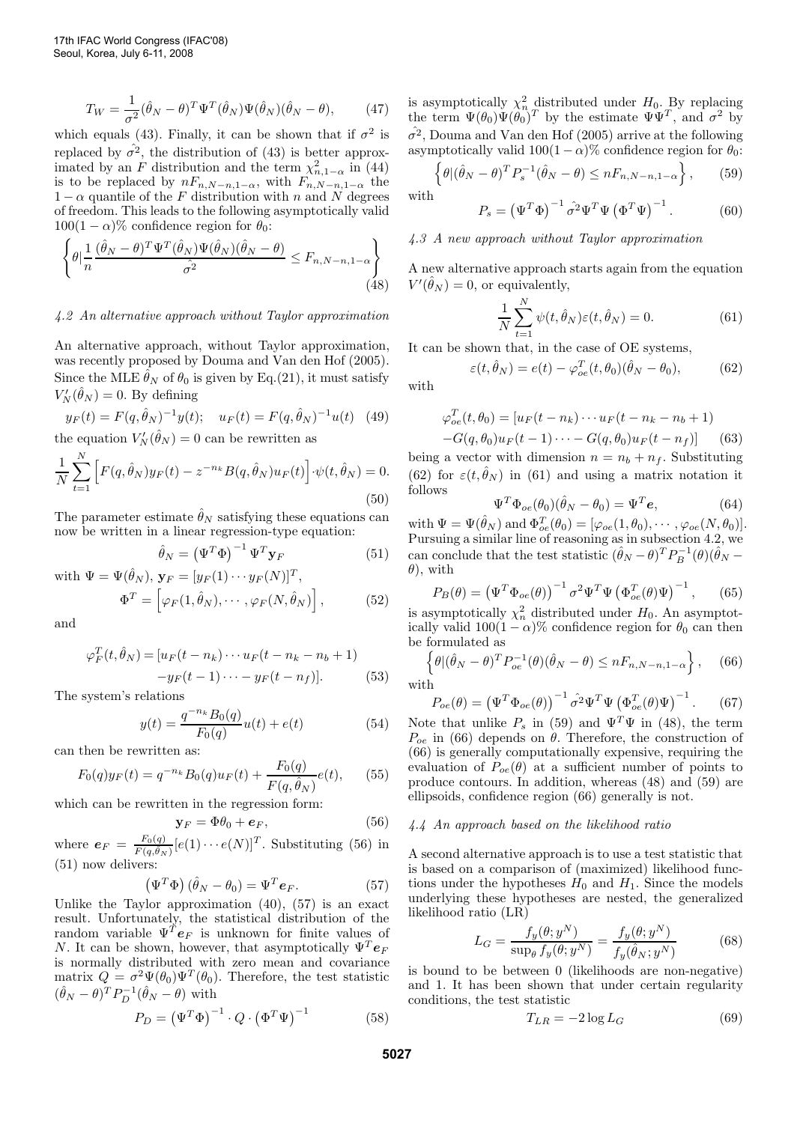$$
T_W = \frac{1}{\sigma^2} (\hat{\theta}_N - \theta)^T \Psi^T (\hat{\theta}_N) \Psi(\hat{\theta}_N) (\hat{\theta}_N - \theta), \qquad (47)
$$

which equals (43). Finally, it can be shown that if  $\sigma^2$  is replaced by  $\hat{\sigma}^2$ , the distribution of (43) is better approximated by an F distribution and the term  $\chi^2_{n,1-\alpha}$  in (44) is to be replaced by  $nF_{n,N-n,1-\alpha}$ , with  $F_{n,N-n,1-\alpha}$  the  $1 - \alpha$  quantile of the F distribution with n and N degrees of freedom. This leads to the following asymptotically valid  $100(1 - \alpha)\%$  confidence region for  $\theta_0$ :

$$
\left\{\theta \left| \frac{1}{n} \frac{(\hat{\theta}_N - \theta)^T \Psi^T(\hat{\theta}_N) \Psi(\hat{\theta}_N)(\hat{\theta}_N - \theta)}{\hat{\sigma}^2} \right| \le F_{n, N-n, 1-\alpha} \right\}
$$
(48)

4.2 An alternative approach without Taylor approximation

An alternative approach, without Taylor approximation, was recently proposed by Douma and Van den Hof (2005). Since the MLE  $\hat{\theta}_N$  of  $\theta_0$  is given by Eq.(21), it must satisfy  $V_N'(\hat{\theta}_N) = 0$ . By defining

$$
y_F(t) = F(q, \hat{\theta}_N)^{-1} y(t); \quad u_F(t) = F(q, \hat{\theta}_N)^{-1} u(t) \quad (49)
$$
  
the equation  $V'_N(\hat{\theta}_N) = 0$  can be rewritten as

$$
\frac{1}{N} \sum_{t=1}^{N} \left[ F(q, \hat{\theta}_N) y_F(t) - z^{-n_k} B(q, \hat{\theta}_N) u_F(t) \right] \cdot \psi(t, \hat{\theta}_N) = 0.
$$
\n(50)

The parameter estimate  $\hat{\theta}_N$  satisfying these equations can now be written in a linear regression-type equation:

$$
\hat{\theta}_N = \left(\Psi^T \Phi\right)^{-1} \Psi^T \mathbf{y}_F \tag{51}
$$

with  $\Psi = \Psi(\hat{\theta}_N)$ ,  $\mathbf{y}_F = [y_F(1) \cdots y_F(N)]^T$ ,  $\Phi^T = \left[ \varphi_F (1, \hat \theta_N), \cdots, \varphi_F (N, \hat \theta_N) \right]$  $(52)$ 

and

$$
\varphi_F^T(t, \hat{\theta}_N) = [u_F(t - n_k) \cdots u_F(t - n_k - n_b + 1) -y_F(t - 1) \cdots -y_F(t - n_f)].
$$
\n(53)

The system's relations

$$
y(t) = \frac{q^{-n_k} B_0(q)}{F_0(q)} u(t) + e(t)
$$
\n(54)

can then be rewritten as:

$$
F_0(q)y_F(t) = q^{-n_k} B_0(q)u_F(t) + \frac{F_0(q)}{F(q, \hat{\theta}_N)}e(t), \quad (55)
$$

which can be rewritten in the regression form:

$$
\mathbf{y}_F = \Phi \theta_0 + \boldsymbol{e}_F, \tag{56}
$$

where  $e_F = \frac{F_0(q)}{F(q,\hat{\theta}_N)} [e(1) \cdots e(N)]^T$ . Substituting (56) in (51) now delivers:

$$
\left(\Psi^T\Phi\right)(\hat{\theta}_N - \theta_0) = \Psi^T \mathbf{e}_F. \tag{57}
$$

Unlike the Taylor approximation  $(40)$ ,  $(57)$  is an exact result. Unfortunately, the statistical distribution of the random variable  $\Psi^{\tilde{T}}e_F$  is unknown for finite values of N. It can be shown, however, that asymptotically  $\Psi^T e_F$ is normally distributed with zero mean and covariance matrix  $Q = \sigma^2 \Psi(\theta_0) \Psi^T(\theta_0)$ . Therefore, the test statistic  $(\hat{\theta}_N - \theta)^T P_D^{-1} (\hat{\theta}_N - \theta)$  with

$$
P_D = \left(\Psi^T \Phi\right)^{-1} \cdot Q \cdot \left(\Phi^T \Psi\right)^{-1} \tag{58}
$$

is asymptotically  $\chi_n^2$  distributed under  $H_0$ . By replacing the term  $\Psi(\theta_0)\Psi(\theta_0)^T$  by the estimate  $\Psi\Psi^T$ , and  $\sigma^2$  by  $\hat{\sigma^2}$ , Douma and Van den Hof (2005) arrive at the following asymptotically valid  $100(1 - \alpha)$ % confidence region for  $\theta_0$ :

$$
\left\{\theta | (\hat{\theta}_N - \theta)^T P_s^{-1} (\hat{\theta}_N - \theta) \le n F_{n,N-n,1-\alpha} \right\},\qquad(59)
$$

with

with

$$
P_s = \left(\Psi^T \Phi\right)^{-1} \hat{\sigma^2} \Psi^T \Psi \left(\Phi^T \Psi\right)^{-1}.
$$
 (60)

# 4.3 A new approach without Taylor approximation

A new alternative approach starts again from the equation  $V'(\hat{\theta}_N) = 0$ , or equivalently,

$$
\frac{1}{N} \sum_{t=1}^{N} \psi(t, \hat{\theta}_N) \varepsilon(t, \hat{\theta}_N) = 0.
$$
 (61)

It can be shown that, in the case of OE systems,

$$
\varepsilon(t, \hat{\theta}_N) = e(t) - \varphi_{oe}^T(t, \theta_0)(\hat{\theta}_N - \theta_0), \tag{62}
$$

$$
\varphi_{oe}^T(t, \theta_0) = [u_F(t - n_k) \cdots u_F(t - n_k - n_b + 1) - G(q, \theta_0)u_F(t - 1) \cdots - G(q, \theta_0)u_F(t - n_f)] \tag{63}
$$

being a vector with dimension  $n = n_b + n_f$ . Substituting (62) for  $\varepsilon(t, \hat{\theta}_N)$  in (61) and using a matrix notation it follows

$$
\Psi^T \Phi_{oe}(\theta_0)(\hat{\theta}_N - \theta_0) = \Psi^T \mathbf{e},\tag{64}
$$

with  $\Psi = \Psi(\hat{\theta}_N)$  and  $\Phi_{oe}^T(\theta_0) = [\varphi_{oe}(1, \theta_0), \cdots, \varphi_{oe}(N, \theta_0)].$ Pursuing a similar line of reasoning as in subsection 4.2, we can conclude that the test statistic  $(\hat{\theta}_N - \theta)^T P_B^{-1}(\theta) (\hat{\theta}_N - \theta)$  $\theta$ , with

$$
P_B(\theta) = \left(\Psi^T \Phi_{oe}(\theta)\right)^{-1} \sigma^2 \Psi^T \Psi \left(\Phi_{oe}^T(\theta)\Psi\right)^{-1},\qquad(65)
$$

is asymptotically  $\chi^2_n$  distributed under  $H_0$ . An asymptotically valid  $100(1 - \alpha)$ % confidence region for  $\theta_0$  can then be formulated as

$$
\left\{ \theta | (\hat{\theta}_N - \theta)^T P_{oe}^{-1}(\theta) (\hat{\theta}_N - \theta) \le n F_{n, N-n, 1-\alpha} \right\},\tag{66}
$$

with

$$
P_{oe}(\theta) = \left(\Psi^T \Phi_{oe}(\theta)\right)^{-1} \hat{\sigma^2} \Psi^T \Psi \left(\Phi_{oe}^T(\theta)\Psi\right)^{-1}.
$$
 (67)

Note that unlike  $P_s$  in (59) and  $\Psi^T\Psi$  in (48), the term  $P_{oe}$  in (66) depends on  $\theta$ . Therefore, the construction of (66) is generally computationally expensive, requiring the evaluation of  $P_{oe}(\theta)$  at a sufficient number of points to produce contours. In addition, whereas (48) and (59) are ellipsoids, confidence region (66) generally is not.

# 4.4 An approach based on the likelihood ratio

A second alternative approach is to use a test statistic that is based on a comparison of (maximized) likelihood functions under the hypotheses  $H_0$  and  $H_1$ . Since the models underlying these hypotheses are nested, the generalized likelihood ratio (LR)

$$
L_G = \frac{f_y(\theta; y^N)}{\sup_{\theta} f_y(\theta; y^N)} = \frac{f_y(\theta; y^N)}{f_y(\hat{\theta}_N; y^N)} \tag{68}
$$

is bound to be between 0 (likelihoods are non-negative) and 1. It has been shown that under certain regularity conditions, the test statistic

$$
T_{LR} = -2\log L_G \tag{69}
$$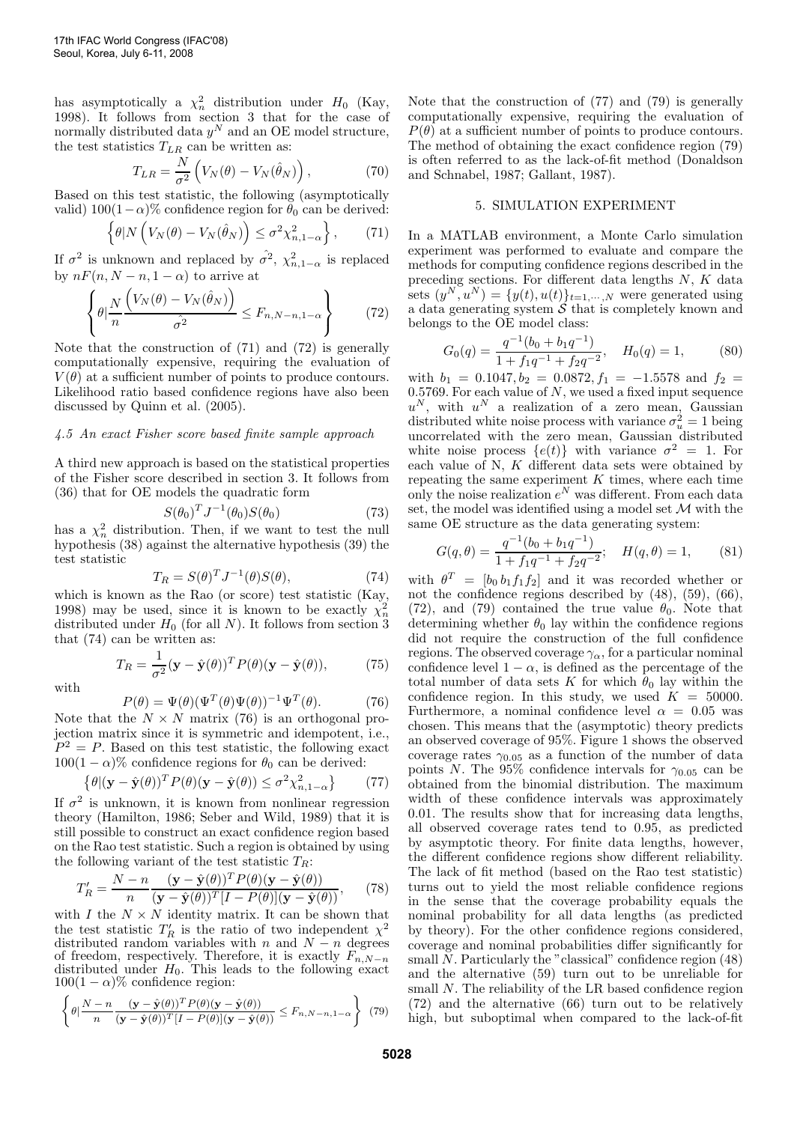has asymptotically a  $\chi^2_n$  distribution under  $H_0$  (Kay, 1998). It follows from section 3 that for the case of normally distributed data  $y^N$  and an OE model structure, the test statistics  $T_{LR}$  can be written as:

$$
T_{LR} = \frac{N}{\sigma^2} \left( V_N(\theta) - V_N(\hat{\theta}_N) \right), \tag{70}
$$

Based on this test statistic, the following (asymptotically valid)  $100(1-\alpha)\%$  confidence region for  $\theta_0$  can be derived:

$$
\left\{\theta|N\left(V_N(\theta) - V_N(\hat{\theta}_N)\right) \leq \sigma^2 \chi^2_{n,1-\alpha}\right\},\qquad(71)
$$

If  $\sigma^2$  is unknown and replaced by  $\hat{\sigma^2}$ ,  $\chi^2_{n,1-\alpha}$  is replaced by  $nF(n, N-n, 1-\alpha)$  to arrive at

$$
\left\{\theta \Big| \frac{N}{n} \frac{\left(V_N(\theta) - V_N(\hat{\theta}_N)\right)}{\hat{\sigma}^2} \le F_{n,N-n,1-\alpha} \right\} \tag{72}
$$

Note that the construction of (71) and (72) is generally computationally expensive, requiring the evaluation of  $V(\theta)$  at a sufficient number of points to produce contours. Likelihood ratio based confidence regions have also been discussed by Quinn et al. (2005).

# 4.5 An exact Fisher score based finite sample approach

A third new approach is based on the statistical properties of the Fisher score described in section 3. It follows from (36) that for OE models the quadratic form

$$
S(\theta_0)^T J^{-1}(\theta_0) S(\theta_0) \tag{73}
$$

has a  $\chi_n^2$  distribution. Then, if we want to test the null hypothesis (38) against the alternative hypothesis (39) the test statistic

$$
T_R = S(\theta)^T J^{-1}(\theta) S(\theta), \tag{74}
$$

which is known as the Rao (or score) test statistic (Kay, 1998) may be used, since it is known to be exactly  $\chi^2_n$ distributed under  $H_0$  (for all N). It follows from section 3 that (74) can be written as:

with

$$
T_R = \frac{1}{\sigma^2} (\mathbf{y} - \hat{\mathbf{y}}(\theta))^T P(\theta) (\mathbf{y} - \hat{\mathbf{y}}(\theta)), \tag{75}
$$

$$
P(\theta) = \Psi(\theta) (\Psi^T(\theta)\Psi(\theta))^{-1} \Psi^T(\theta).
$$
 (76)

Note that the  $N \times N$  matrix (76) is an orthogonal projection matrix since it is symmetric and idempotent, i.e.,  $P^2 = P$ . Based on this test statistic, the following exact  $100(1 - \alpha)\%$  confidence regions for  $\theta_0$  can be derived:

$$
\{\theta | (\mathbf{y} - \hat{\mathbf{y}}(\theta))^T P(\theta)(\mathbf{y} - \hat{\mathbf{y}}(\theta)) \le \sigma^2 \chi^2_{n, 1 - \alpha} \}
$$
(77)

If  $\sigma^2$  is unknown, it is known from nonlinear regression theory (Hamilton, 1986; Seber and Wild, 1989) that it is still possible to construct an exact confidence region based on the Rao test statistic. Such a region is obtained by using the following variant of the test statistic  $T_R$ :

$$
T'_R = \frac{N - n}{n} \frac{(\mathbf{y} - \hat{\mathbf{y}}(\theta))^T P(\theta)(\mathbf{y} - \hat{\mathbf{y}}(\theta))}{(\mathbf{y} - \hat{\mathbf{y}}(\theta))^T [I - P(\theta)](\mathbf{y} - \hat{\mathbf{y}}(\theta))},\tag{78}
$$

with I the  $N \times N$  identity matrix. It can be shown that the test statistic  $T'_R$  is the ratio of two independent  $\chi^2$ distributed random variables with n and  $N - n$  degrees of freedom, respectively. Therefore, it is exactly  $F_{n,N-n}$ distributed under  $H_0$ . This leads to the following exact  $100(1 - \alpha)$ % confidence region:

$$
\left\{\theta\left|\frac{N-n}{n}\frac{(\mathbf{y}-\hat{\mathbf{y}}(\theta))^T P(\theta)(\mathbf{y}-\hat{\mathbf{y}}(\theta))}{(\mathbf{y}-\hat{\mathbf{y}}(\theta))^T[I-P(\theta)](\mathbf{y}-\hat{\mathbf{y}}(\theta))}\right|\leq F_{n,N-n,1-\alpha}\right\}
$$
(79)

Note that the construction of (77) and (79) is generally computationally expensive, requiring the evaluation of  $P(\theta)$  at a sufficient number of points to produce contours. The method of obtaining the exact confidence region (79) is often referred to as the lack-of-fit method (Donaldson and Schnabel, 1987; Gallant, 1987).

# 5. SIMULATION EXPERIMENT

In a MATLAB environment, a Monte Carlo simulation experiment was performed to evaluate and compare the methods for computing confidence regions described in the preceding sections. For different data lengths N, K data sets  $(y^N, u^N) = \{y(t), u(t)\}_{t=1,\dots,N}$  were generated using a data generating system  $S$  that is completely known and belongs to the OE model class:

$$
G_0(q) = \frac{q^{-1}(b_0 + b_1 q^{-1})}{1 + f_1 q^{-1} + f_2 q^{-2}}, \quad H_0(q) = 1,
$$
 (80)

with  $b_1 = 0.1047, b_2 = 0.0872, f_1 = -1.5578$  and  $f_2 =$ 0.5769. For each value of  $N$ , we used a fixed input sequence  $u^N$ , with  $u^N$  a realization of a zero mean, Gaussian distributed white noise process with variance  $\sigma_u^2 = 1$  being uncorrelated with the zero mean, Gaussian distributed white noise process  $\{e(t)\}\$  with variance  $\sigma^2 = 1$ . For each value of  $N$ ,  $K$  different data sets were obtained by repeating the same experiment  $K$  times, where each time only the noise realization  $e^N$  was different. From each data set, the model was identified using a model set  $\mathcal M$  with the same OE structure as the data generating system:

$$
G(q,\theta) = \frac{q^{-1}(b_0 + b_1 q^{-1})}{1 + f_1 q^{-1} + f_2 q^{-2}}; \quad H(q,\theta) = 1,
$$
 (81)

with  $\theta^T = [b_0 b_1 f_1 f_2]$  and it was recorded whether or not the confidence regions described by (48), (59), (66), (72), and (79) contained the true value  $\theta_0$ . Note that determining whether  $\theta_0$  lay within the confidence regions did not require the construction of the full confidence regions. The observed coverage  $\gamma_{\alpha}$ , for a particular nominal confidence level  $1 - \alpha$ , is defined as the percentage of the total number of data sets K for which  $\theta_0$  lay within the confidence region. In this study, we used  $K = 50000$ . Furthermore, a nominal confidence level  $\alpha = 0.05$  was chosen. This means that the (asymptotic) theory predicts an observed coverage of 95%. Figure 1 shows the observed coverage rates  $\gamma_{0.05}$  as a function of the number of data points N. The 95% confidence intervals for  $\gamma_{0.05}$  can be obtained from the binomial distribution. The maximum width of these confidence intervals was approximately 0.01. The results show that for increasing data lengths, all observed coverage rates tend to 0.95, as predicted by asymptotic theory. For finite data lengths, however, the different confidence regions show different reliability. The lack of fit method (based on the Rao test statistic) turns out to yield the most reliable confidence regions in the sense that the coverage probability equals the nominal probability for all data lengths (as predicted by theory). For the other confidence regions considered, coverage and nominal probabilities differ significantly for small N. Particularly the "classical" confidence region  $(48)$ and the alternative (59) turn out to be unreliable for small N. The reliability of the LR based confidence region (72) and the alternative (66) turn out to be relatively high, but suboptimal when compared to the lack-of-fit